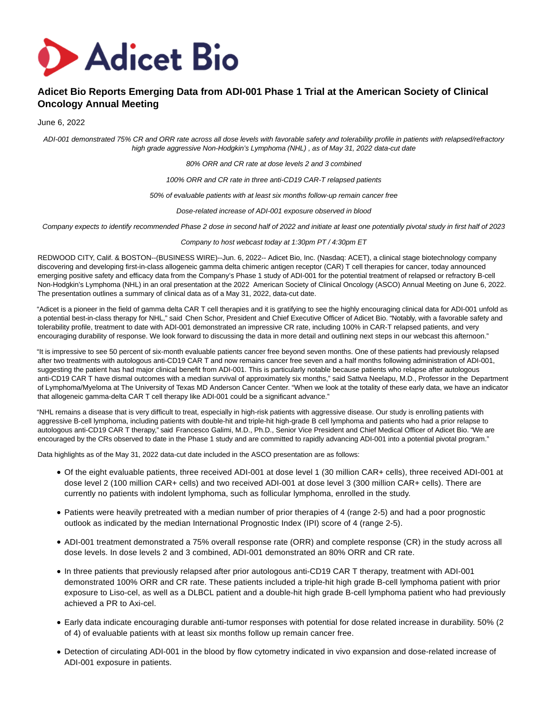

# **Adicet Bio Reports Emerging Data from ADI-001 Phase 1 Trial at the American Society of Clinical Oncology Annual Meeting**

## June 6, 2022

ADI-001 demonstrated 75% CR and ORR rate across all dose levels with favorable safety and tolerability profile in patients with relapsed/refractory high grade aggressive Non-Hodgkin's Lymphoma (NHL) , as of May 31, 2022 data-cut date

80% ORR and CR rate at dose levels 2 and 3 combined

100% ORR and CR rate in three anti-CD19 CAR-T relapsed patients

50% of evaluable patients with at least six months follow-up remain cancer free

Dose-related increase of ADI-001 exposure observed in blood

Company expects to identify recommended Phase 2 dose in second half of 2022 and initiate at least one potentially pivotal study in first half of 2023

Company to host webcast today at 1:30pm PT / 4:30pm ET

REDWOOD CITY, Calif. & BOSTON--(BUSINESS WIRE)--Jun. 6, 2022-- Adicet Bio, Inc. (Nasdaq: ACET), a clinical stage biotechnology company discovering and developing first-in-class allogeneic gamma delta chimeric antigen receptor (CAR) T cell therapies for cancer, today announced emerging positive safety and efficacy data from the Company's Phase 1 study of ADI-001 for the potential treatment of relapsed or refractory B-cell Non-Hodgkin's Lymphoma (NHL) in an oral presentation at the 2022 American Society of Clinical Oncology (ASCO) Annual Meeting on June 6, 2022. The presentation outlines a summary of clinical data as of a May 31, 2022, data-cut date.

"Adicet is a pioneer in the field of gamma delta CAR T cell therapies and it is gratifying to see the highly encouraging clinical data for ADI-001 unfold as a potential best-in-class therapy for NHL," said Chen Schor, President and Chief Executive Officer of Adicet Bio. "Notably, with a favorable safety and tolerability profile, treatment to date with ADI-001 demonstrated an impressive CR rate, including 100% in CAR-T relapsed patients, and very encouraging durability of response. We look forward to discussing the data in more detail and outlining next steps in our webcast this afternoon."

"It is impressive to see 50 percent of six-month evaluable patients cancer free beyond seven months. One of these patients had previously relapsed after two treatments with autologous anti-CD19 CAR T and now remains cancer free seven and a half months following administration of ADI-001, suggesting the patient has had major clinical benefit from ADI-001. This is particularly notable because patients who relapse after autologous anti-CD19 CAR T have dismal outcomes with a median survival of approximately six months," said Sattva Neelapu, M.D., Professor in the Department of Lymphoma/Myeloma at The University of Texas MD Anderson Cancer Center. "When we look at the totality of these early data, we have an indicator that allogeneic gamma-delta CAR T cell therapy like ADI-001 could be a significant advance."

"NHL remains a disease that is very difficult to treat, especially in high-risk patients with aggressive disease. Our study is enrolling patients with aggressive B-cell lymphoma, including patients with double-hit and triple-hit high-grade B cell lymphoma and patients who had a prior relapse to autologous anti-CD19 CAR T therapy," said Francesco Galimi, M.D., Ph.D., Senior Vice President and Chief Medical Officer of Adicet Bio. "We are encouraged by the CRs observed to date in the Phase 1 study and are committed to rapidly advancing ADI-001 into a potential pivotal program."

Data highlights as of the May 31, 2022 data-cut date included in the ASCO presentation are as follows:

- Of the eight evaluable patients, three received ADI-001 at dose level 1 (30 million CAR+ cells), three received ADI-001 at dose level 2 (100 million CAR+ cells) and two received ADI-001 at dose level 3 (300 million CAR+ cells). There are currently no patients with indolent lymphoma, such as follicular lymphoma, enrolled in the study.
- Patients were heavily pretreated with a median number of prior therapies of 4 (range 2-5) and had a poor prognostic outlook as indicated by the median International Prognostic Index (IPI) score of 4 (range 2-5).
- ADI-001 treatment demonstrated a 75% overall response rate (ORR) and complete response (CR) in the study across all dose levels. In dose levels 2 and 3 combined, ADI-001 demonstrated an 80% ORR and CR rate.
- In three patients that previously relapsed after prior autologous anti-CD19 CAR T therapy, treatment with ADI-001 demonstrated 100% ORR and CR rate. These patients included a triple-hit high grade B-cell lymphoma patient with prior exposure to Liso-cel, as well as a DLBCL patient and a double-hit high grade B-cell lymphoma patient who had previously achieved a PR to Axi-cel.
- Early data indicate encouraging durable anti-tumor responses with potential for dose related increase in durability. 50% (2 of 4) of evaluable patients with at least six months follow up remain cancer free.
- Detection of circulating ADI-001 in the blood by flow cytometry indicated in vivo expansion and dose-related increase of ADI-001 exposure in patients.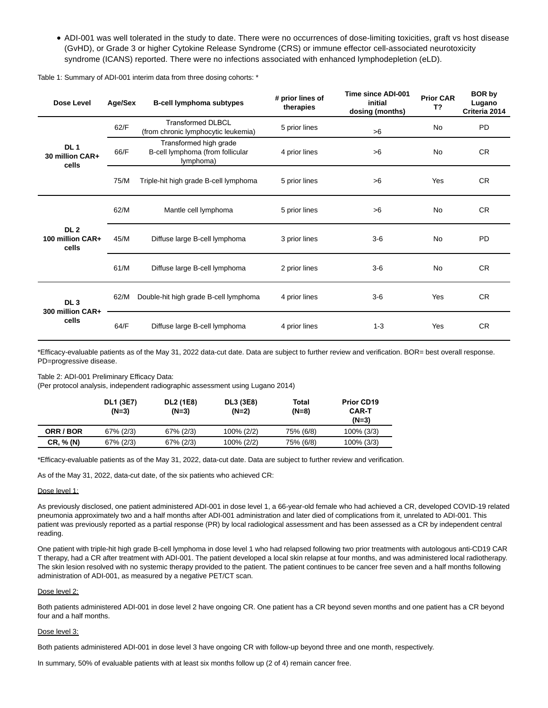ADI-001 was well tolerated in the study to date. There were no occurrences of dose-limiting toxicities, graft vs host disease (GvHD), or Grade 3 or higher Cytokine Release Syndrome (CRS) or immune effector cell-associated neurotoxicity syndrome (ICANS) reported. There were no infections associated with enhanced lymphodepletion (eLD).

| Dose Level                                   | Age/Sex | <b>B-cell lymphoma subtypes</b>                                         | # prior lines of<br>therapies | Time since ADI-001<br>initial<br>dosing (months) |           | <b>BOR by</b><br>Lugano<br>Criteria 2014 |
|----------------------------------------------|---------|-------------------------------------------------------------------------|-------------------------------|--------------------------------------------------|-----------|------------------------------------------|
| DL <sub>1</sub><br>30 million CAR+<br>cells  | 62/F    | Transformed DI BCL<br>(from chronic lymphocytic leukemia)               | 5 prior lines                 | >6                                               | <b>No</b> | <b>PD</b>                                |
|                                              | 66/F    | Transformed high grade<br>B-cell lymphoma (from follicular<br>lymphoma) | 4 prior lines                 | >6                                               | No        | <b>CR</b>                                |
|                                              | 75/M    | Triple-hit high grade B-cell lymphoma                                   | 5 prior lines                 | >6                                               | Yes       | <b>CR</b>                                |
| DL <sub>2</sub><br>100 million CAR+<br>cells | 62/M    | Mantle cell lymphoma                                                    | 5 prior lines                 | >6                                               | <b>No</b> | <b>CR</b>                                |
|                                              | 45/M    | Diffuse large B-cell lymphoma                                           | 3 prior lines                 | $3-6$                                            | No        | <b>PD</b>                                |
|                                              | 61/M    | Diffuse large B-cell lymphoma                                           | 2 prior lines                 | $3-6$                                            | <b>No</b> | <b>CR</b>                                |
| DL <sub>3</sub><br>300 million CAR+<br>cells | 62/M    | Double-hit high grade B-cell lymphoma                                   | 4 prior lines                 | $3-6$                                            | Yes       | <b>CR</b>                                |
|                                              | 64/F    | Diffuse large B-cell lymphoma                                           | 4 prior lines                 | $1 - 3$                                          | Yes       | <b>CR</b>                                |

Table 1: Summary of ADI-001 interim data from three dosing cohorts: \*

\*Efficacy-evaluable patients as of the May 31, 2022 data-cut date. Data are subject to further review and verification. BOR= best overall response. PD=progressive disease.

Table 2: ADI-001 Preliminary Efficacy Data:

(Per protocol analysis, independent radiographic assessment using Lugano 2014)

|           | <b>DL1 (3E7)</b><br>$(N=3)$ | DL2 (1E8)<br>(N=3) | DL3 (3E8)<br>(N=2) | Total<br>(N=8) | <b>Prior CD19</b><br>CAR-T<br>$(N=3)$ |
|-----------|-----------------------------|--------------------|--------------------|----------------|---------------------------------------|
| ORR / BOR | $67\%$ (2/3)                | 67% (2/3)          | 100% (2/2)         | 75% (6/8)      | $100\%$ (3/3)                         |
| CR, % (N) | $67\%$ (2/3)                | 67% (2/3)          | 100% (2/2)         | 75% (6/8)      | 100% (3/3)                            |

\*Efficacy-evaluable patients as of the May 31, 2022, data-cut date. Data are subject to further review and verification.

As of the May 31, 2022, data-cut date, of the six patients who achieved CR:

#### Dose level 1:

As previously disclosed, one patient administered ADI-001 in dose level 1, a 66-year-old female who had achieved a CR, developed COVID-19 related pneumonia approximately two and a half months after ADI-001 administration and later died of complications from it, unrelated to ADI-001. This patient was previously reported as a partial response (PR) by local radiological assessment and has been assessed as a CR by independent central reading.

One patient with triple-hit high grade B-cell lymphoma in dose level 1 who had relapsed following two prior treatments with autologous anti-CD19 CAR T therapy, had a CR after treatment with ADI-001. The patient developed a local skin relapse at four months, and was administered local radiotherapy. The skin lesion resolved with no systemic therapy provided to the patient. The patient continues to be cancer free seven and a half months following administration of ADI-001, as measured by a negative PET/CT scan.

#### Dose level 2:

Both patients administered ADI-001 in dose level 2 have ongoing CR. One patient has a CR beyond seven months and one patient has a CR beyond four and a half months.

#### Dose level 3:

Both patients administered ADI-001 in dose level 3 have ongoing CR with follow-up beyond three and one month, respectively.

In summary, 50% of evaluable patients with at least six months follow up (2 of 4) remain cancer free.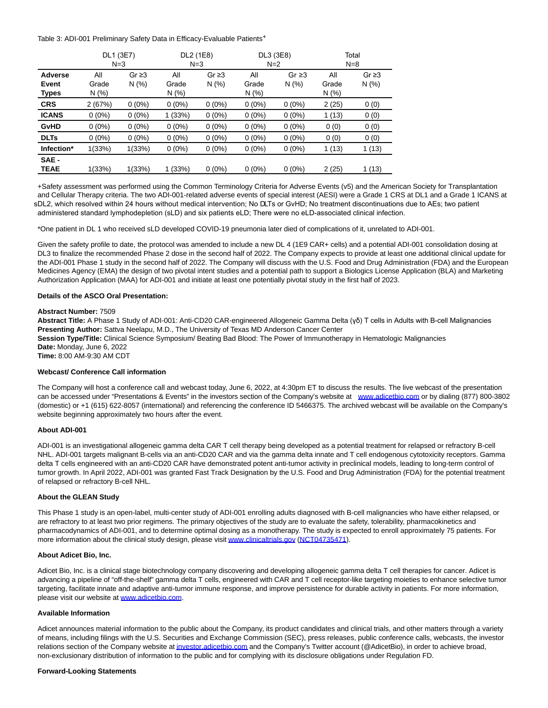Table 3: ADI-001 Preliminary Safety Data in Efficacy-Evaluable Patients<sup>+</sup>

|              | DL1 (3E7) |             | DL2 (1E8) |             | DL3 (3E8) |             | Total |             |
|--------------|-----------|-------------|-----------|-------------|-----------|-------------|-------|-------------|
|              | $N=3$     |             | $N = 3$   |             | $N=2$     |             |       | $N=8$       |
| Adverse      | All       | Gr $\geq$ 3 | All       | Gr $\geq$ 3 | All       | Gr $\geq$ 3 | All   | Gr $\geq$ 3 |
| Event        | Grade     | N(%)        | Grade     | N(%)        | Grade     | N(% )       | Grade | N(% )       |
| <b>Types</b> | N(% )     |             | N(% )     |             | N(% )     |             | N (%) |             |
| <b>CRS</b>   | 2(67%)    | $0(0\%)$    | $0(0\%)$  | $0(0\%)$    | $0(0\%)$  | $0(0\%)$    | 2(25) | 0(0)        |
| <b>ICANS</b> | $0(0\%)$  | $0(0\%)$    | 1(33%)    | $0(0\%)$    | $0(0\%)$  | $0(0\%)$    | 1(13) | 0(0)        |
| <b>GvHD</b>  | $0(0\%)$  | $0(0\%)$    | $0(0\%)$  | $0(0\%)$    | $0(0\%)$  | $0(0\%)$    | 0(0)  | 0(0)        |
| <b>DLTs</b>  | $0(0\%)$  | $0(0\%)$    | $0(0\%)$  | $0(0\%)$    | $0(0\%)$  | $0(0\%)$    | 0(0)  | 0(0)        |
| Infection*   | 1(33%)    | 1(33%)      | $0(0\%)$  | $0(0\%)$    | $0(0\%)$  | $0(0\%)$    | 1(13) | 1 (13)      |
| SAE -        |           |             |           |             |           |             |       |             |
| <b>TEAE</b>  | 1(33%)    | 1(33%)      | 1(33%)    | $0(0\%)$    | $0(0\%)$  | $0(0\%)$    | 2(25) | 1(13)       |

+Safety assessment was performed using the Common Terminology Criteria for Adverse Events (v5) and the American Society for Transplantation and Cellular Therapy criteria. The two ADI-001-related adverse events of special interest (AESI) were a Grade 1 CRS at DL1 and a Grade 1 ICANS at sDL2, which resolved within 24 hours without medical intervention; No DLTs or GvHD; No treatment discontinuations due to AEs; two patient administered standard lymphodepletion (sLD) and six patients eLD; There were no eLD-associated clinical infection.

\*One patient in DL 1 who received sLD developed COVID-19 pneumonia later died of complications of it, unrelated to ADI-001.

Given the safety profile to date, the protocol was amended to include a new DL 4 (1E9 CAR+ cells) and a potential ADI-001 consolidation dosing at DL3 to finalize the recommended Phase 2 dose in the second half of 2022. The Company expects to provide at least one additional clinical update for the ADI-001 Phase 1 study in the second half of 2022. The Company will discuss with the U.S. Food and Drug Administration (FDA) and the European Medicines Agency (EMA) the design of two pivotal intent studies and a potential path to support a Biologics License Application (BLA) and Marketing Authorization Application (MAA) for ADI-001 and initiate at least one potentially pivotal study in the first half of 2023.

### **Details of the ASCO Oral Presentation:**

### **Abstract Number:** 7509

**Abstract Title:** A Phase 1 Study of ADI-001: Anti-CD20 CAR-engineered Allogeneic Gamma Delta (γδ) T cells in Adults with B-cell Malignancies **Presenting Author:** Sattva Neelapu, M.D., The University of Texas MD Anderson Cancer Center **Session Type/Title:** Clinical Science Symposium/ Beating Bad Blood: The Power of Immunotherapy in Hematologic Malignancies **Date:** Monday, June 6, 2022 **Time:** 8:00 AM-9:30 AM CDT

#### **Webcast/ Conference Call information**

The Company will host a conference call and webcast today, June 6, 2022, at 4:30pm ET to discuss the results. The live webcast of the presentation can be accessed under "Presentations & Events" in the investors section of the Company's website at [www.adicetbio.com o](https://cts.businesswire.com/ct/CT?id=smartlink&url=http%3A%2F%2Fwww.adicetbio.com&esheet=52739221&newsitemid=20220603005481&lan=en-US&anchor=www.adicetbio.com&index=1&md5=725f197418e7e3df5a739c0387b2efb0)r by dialing (877) 800-3802 (domestic) or +1 (615) 622-8057 (international) and referencing the conference ID 5466375. The archived webcast will be available on the Company's website beginning approximately two hours after the event.

#### **About ADI-001**

ADI-001 is an investigational allogeneic gamma delta CAR T cell therapy being developed as a potential treatment for relapsed or refractory B-cell NHL. ADI-001 targets malignant B-cells via an anti-CD20 CAR and via the gamma delta innate and T cell endogenous cytotoxicity receptors. Gamma delta T cells engineered with an anti-CD20 CAR have demonstrated potent anti-tumor activity in preclinical models, leading to long-term control of tumor growth. In April 2022, ADI-001 was granted Fast Track Designation by the U.S. Food and Drug Administration (FDA) for the potential treatment of relapsed or refractory B-cell NHL.

#### **About the GLEAN Study**

This Phase 1 study is an open-label, multi-center study of ADI-001 enrolling adults diagnosed with B-cell malignancies who have either relapsed, or are refractory to at least two prior regimens. The primary objectives of the study are to evaluate the safety, tolerability, pharmacokinetics and pharmacodynamics of ADI-001, and to determine optimal dosing as a monotherapy. The study is expected to enroll approximately 75 patients. For more information about the clinical study design, please visi[t www.clinicaltrials.gov](https://cts.businesswire.com/ct/CT?id=smartlink&url=https%3A%2F%2Fwww.globenewswire.com%2FTracker%3Fdata%3D17fw6s8q8_uQRNZIOYTuiN0Yz2jsHpxgjBPm35Bk7kmvWsVhuD76EZhcLC5nfhegQaMzmlY9s5XNtFIK6nlzBGqlKc8ztZO8aOztzEVVkgk%3D&esheet=52739221&newsitemid=20220603005481&lan=en-US&anchor=www.clinicaltrials.gov&index=2&md5=ea1480389d4fa521906a22bffc40a3d6) [\(NCT04735471\).](https://cts.businesswire.com/ct/CT?id=smartlink&url=https%3A%2F%2Fwww.globenewswire.com%2FTracker%3Fdata%3DX_8HYTFeXvkx4TCK_1xeOqoupCjS3zhOITMgMxtgWfjjK8BO_-a_H6MxkqslGJP7pI7MNAIm_ZiqebdGYE7KwI9mZKzVMfazCkD82PaoJ5tTv3JrR0cEzx8toJND1I6B68lqaTz3_FMpOZGDIfac4g%3D%3D&esheet=52739221&newsitemid=20220603005481&lan=en-US&anchor=NCT04735471&index=3&md5=e0b314e9c3f7124cac44f18a435dcc27)

#### **About Adicet Bio, Inc.**

Adicet Bio, Inc. is a clinical stage biotechnology company discovering and developing allogeneic gamma delta T cell therapies for cancer. Adicet is advancing a pipeline of "off-the-shelf" gamma delta T cells, engineered with CAR and T cell receptor-like targeting moieties to enhance selective tumor targeting, facilitate innate and adaptive anti-tumor immune response, and improve persistence for durable activity in patients. For more information, please visit our website at [www.adicetbio.com.](https://cts.businesswire.com/ct/CT?id=smartlink&url=http%3A%2F%2Fwww.adicetbio.com&esheet=52739221&newsitemid=20220603005481&lan=en-US&anchor=www.adicetbio.com&index=4&md5=14214196357f7a1918277e570996c93f)

#### **Available Information**

Adicet announces material information to the public about the Company, its product candidates and clinical trials, and other matters through a variety of means, including filings with the U.S. Securities and Exchange Commission (SEC), press releases, public conference calls, webcasts, the investor relations section of the Company website at investor adicetbio.com and the Company's Twitter account (@AdicetBio), in order to achieve broad, non-exclusionary distribution of information to the public and for complying with its disclosure obligations under Regulation FD.

#### **Forward-Looking Statements**